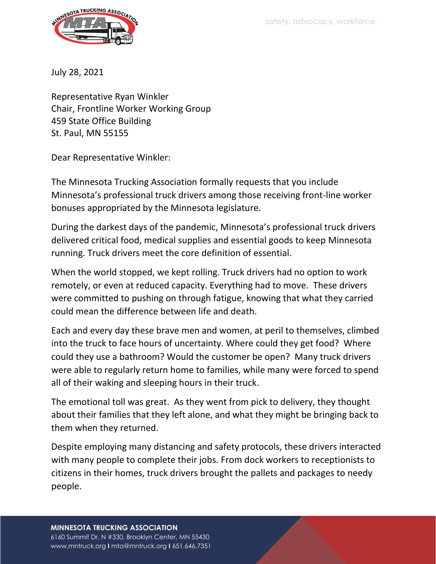

July 28, 2021

Representative Ryan Winkler Chair, Frontline Worker Working Group 459 State Office Building St. Paul, MN 55155

Dear Representative Winkler:

The Minnesota Trucking Association formally requests that you include Minnesota's professional truck drivers among those receiving front-line worker bonuses appropriated by the Minnesota legislature.

During the darkest days of the pandemic, Minnesota's professional truck drivers delivered critical food, medical supplies and essential goods to keep Minnesota running. Truck drivers meet the core definition of essential.

When the world stopped, we kept rolling. Truck drivers had no option to work remotely, or even at reduced capacity. Everything had to move. These drivers were committed to pushing on through fatigue, knowing that what they carried could mean the difference between life and death.

Each and every day these brave men and women, at peril to themselves, climbed into the truck to face hours of uncertainty. Where could they get food? Where could they use a bathroom? Would the customer be open? Many truck drivers were able to regularly return home to families, while many were forced to spend all of their waking and sleeping hours in their truck.

The emotional toll was great. As they went from pick to delivery, they thought about their families that they left alone, and what they might be bringing back to them when they returned.

Despite employing many distancing and safety protocols, these drivers interacted with many people to complete their jobs. From dock workers to receptionists to citizens in their homes, truck drivers brought the pallets and packages to needy people.

## **MINNESOTA TRUCKING ASSOCIATION**

6160 Summit Dr. N #330, Brooklyn Center, MN 55430 www.mntruck.org **I** mta@mntruck.org **I** 651.646.7351